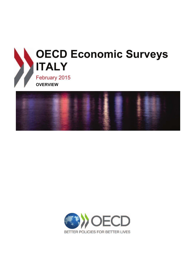



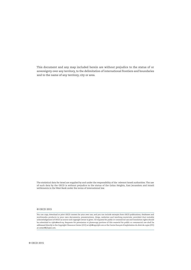This document and any map included herein are without prejudice to the status of or sovereignty over any territory, to the delimitation of international frontiers and boundaries and to the name of any territory, city or area.

The statistical data for Israel are supplied by and under the responsibility of the relevant Israeli authorities. The use of such data by the OECD is without prejudice to the status of the Golan Heights, East Jerusalem and Israeli settlements in the West Bank under the terms of international law.

#### © OECD 2015

You can copy, download or print OECD content for your own use, and you can include excerpts from OECD publications, databases and multimedia products in your own documents, presentations, blogs, websites and teaching materials, provided that suitable acknowledgement of OECD as source and copyright owner is given. All requests for public or commercial use and translation rights should be submitted to *rights@oecd.org*. Requests for permission to photocopy portions of this material for public or commercial use shall be addressed directly to the Copyright Clearance Center (CCC) at *info@copyright.com* or the Centre français d'exploitation du droit de copie (CFC) at *contact@cfcopies.com*.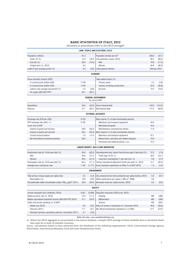#### **BASIC STATISTICS OF ITALY, 2013**

(Numbers in parentheses refer to the OECD average)*<sup>a</sup>*

|                                                                               |         |          | LAND, PEOPLE AND ELECTORAL CYCLE                                         |       |               |
|-------------------------------------------------------------------------------|---------|----------|--------------------------------------------------------------------------|-------|---------------|
| Population (million)                                                          | 61.2    |          | Population density per km <sup>2</sup>                                   | 203.0 | (34.7)        |
| Under 15 (%)                                                                  | 14.0    | (18.2)   | Life expectancy (years, 2012)                                            | 82.3  | (80.2)        |
| Over 65 (%)                                                                   | 20.9    | (15.6)   | Men                                                                      | 79.8  | (77.5)        |
| Foreign-born (%, 2012)                                                        | 9.4     |          | Women                                                                    | 84.8  | (82.9)        |
| Latest 5-year average growth (%)                                              | 0.4     | (0.6)    | Latest general election                                                  |       | February 2013 |
|                                                                               |         |          | <b>ECONOMY</b>                                                           |       |               |
| Gross domestic product (GDP)                                                  |         |          | Value added shares (%)                                                   |       |               |
| In current prices (billion USD)                                               | 2 1 4 9 |          | Primary sector                                                           | 2.3   | (2.6)         |
| In current prices (billion EUR)                                               | 1 6 1 9 |          | Industry including construction                                          | 23.3  | (26.9)        |
| Latest 5-year average real growth (%)                                         | $-1.5$  | (0.8)    | Services                                                                 | 74.4  | (70.5)        |
| Per capita (000 USD PPP)                                                      | 34.7    | (38.1)   |                                                                          |       |               |
|                                                                               |         |          | <b>GENERAL GOVERNMENT</b><br>Per cent of GDP                             |       |               |
| Expenditure                                                                   | 50.5    | (42.6)   | Gross financial debt                                                     | 144.0 | (110.2)       |
| Revenue                                                                       | 47.7    | (36.7)   | Net financial debt                                                       | 117.5 | (69.9)        |
|                                                                               |         |          | <b>EXTERNAL ACCOUNTS</b>                                                 |       |               |
| Exchange rate (EUR per USD)                                                   | 0.753   |          | Main exports (% of total merchandise exports)                            |       |               |
| PPP exchange rate $(USA = 1)$                                                 | 0.762   |          | Machinery and transport equipment                                        | 34.6  |               |
| In per cent of GDP                                                            |         |          | Manufactured goods                                                       | 18.4  |               |
| Exports of goods and services                                                 | 28.6    | (53.4)   | Miscellaneous manufactured articles                                      | 17.6  |               |
| Imports of goods and services                                                 | 26.3    | (49.4)   | Main imports (% of total merchandise imports)                            |       |               |
| Current account balance                                                       | 1.0     | $(-0.1)$ | Machinery and transport equipment                                        | 22.7  |               |
| Net international investment position                                         | $-30.0$ |          | Mineral fuels, lubricants and related materials                          | 19.9  |               |
|                                                                               |         |          | Chemicals and related products, n.e.s.                                   | 15.4  |               |
|                                                                               |         |          | LABOUR MARKET, SKILLS AND INNOVATION                                     |       |               |
| Employment rate for 15-64 year-olds (%)                                       | 55.6    | (65.2)   | Unemployment rate, Labour Force Survey (age 15 and over) (%)             | 12.2  | (7.9)         |
| Men                                                                           | 64.8    | (73.1)   | Youth (age 15-24, %)                                                     | 40.0  | (16.1)        |
| Women                                                                         | 46.5    | (57.4)   | Long-term unemployed (1 year and over, %)                                | 6.9   | (2.7)         |
| Participation rate for 15-64 year-olds (%)                                    | 64.4    | (71.1)   | Tertiary educational attainment 25-64 year-olds (%, 2012)                | 15.7  | (32.2)        |
| Average hours worked per year                                                 | 1752    | (1771)   | Gross domestic expenditure on R&D (% of GDP, 2012)                       | 1.3   | (2.4)         |
|                                                                               |         |          | <b>ENVIRONMENT</b>                                                       |       |               |
| Total primary energy supply per capita (toe)                                  | 2.5     | (4.2)    | CO <sub>2</sub> emissions from fuel combustion per capita (tonnes, 2012) | 6.2   | (9.7)         |
| Renewables (%)                                                                | 15.8    | (8.8)    | Water abstractions per capita (1 000 $\text{m}^3$ , 2008)                | 0.9   |               |
| Fine particulate matter concentration (urban, $PM_{10}$ , $\mu g/m^3$ , 2011) | 33.8    | (28.0)   | Municipal waste per capita (tonnes, 2010)                                | 0.5   | (0.5)         |
|                                                                               |         |          | <b>SOCIETY</b>                                                           |       |               |
| Income inequality (Gini coefficient, 2010)                                    | 0.321   | (0.308)  | Education outcomes (PISA score, 2012)                                    |       |               |
| Relative poverty rate (%, 2010)                                               | 13.0    | (11.1)   | Reading                                                                  | 490   | (496)         |
| Median equivalised household income (000 USD PPP, 2010)                       | 21.1    | (20.4)   | <b>Mathematics</b>                                                       | 485   | (494)         |
| Public and private spending (% of GDP)                                        |         |          | Science                                                                  | 494   | (501)         |
| Health care (2012)                                                            | 9.2     | (9.2)    | Share of women in parliament (%, December 2014)                          | 30.6  | (26.8)        |
| Pensions (2011)                                                               | 17.1    | (8.7)    | Net official development assistance (% of GNI)                           | 0.17  | (0.37)        |
| Education (primary, secondary, post sec. non tertiary, 2011)                  | 3.1     | (3.9)    |                                                                          |       |               |

Better life index: www.oecdbetterlifeindex.org

*a)* Where the OECD aggregate is not provided in the source database, a simple OECD average of latest available data is calculated where data exist for at least 29 member countries.

*Source:* Calculations based on data extracted from the databases of the following organisations: OECD, International Energy Agency, World Bank, International Monetary Fund and Inter-Parliamentary Union.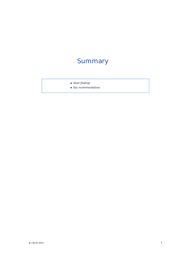# **Summary**

- *Main findings*
- *Key recommendations*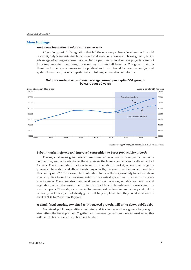## **Main findings**

## *Ambitious institutional reforms are under way*

After a long period of stagnation that left the economy vulnerable when the financial crisis hit, Italy is undertaking broad-based and ambitious reforms to boost growth, taking advantage of synergies across policies. In the past, many good reform projects were not fully implemented, depriving the economy of their full benefits. The government is therefore focusing on changes in the political and institutional frameworks and judicial system to remove previous impediments to full implementation of reforms.



**Reforms underway can boost average annual per capita GDP growth by 0.6% over 10 years**

#### *Labour market reforms and improved competition to boost productivity growth*

The key challenges going forward are to make the economy more productive, more competitive, and more adaptable, thereby raising the living standards and well-being of all Italians. The immediate priority is to reform the labour market, where much rigidity prevents job creation and efficient matching of skills; the government intends to complete this task by mid-2015. For example, it intends to transfer the responsibility for active labour market policy from local governments to the central government, so as to increase effectiveness. There are structural weaknesses in other areas, notably competition and regulation, which the government intends to tackle with broad-based reforms over the next two years. These steps are needed to reverse past declines in productivity and put the economy back on a path of steady growth. If fully implemented, they could increase the level of GDP by 6% within 10 years.

#### *A small fiscal surplus, combined with renewed growth, will bring down public debt*

Sustained public expenditure restraint and tax increases have gone a long way to strengthen the fiscal position. Together with renewed growth and low interest rates, this will help to bring down the public debt burden.

<sup>1 2</sup> *http://dx.doi.org/10.1787/888933184639*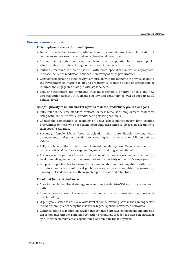## **Key recommendations**

## *Fully implement the institutional reforms*

- Follow through the reform of parliament and the re-assignment and clarification of competences between the central and sub-national governments.
- Ensure that legislation is clear, unambiguous and supported by improved public administration, including through reduced use of emergency decrees.
- Further streamline the court system, with more specialisation where appropriate; increase the use of mediation; enhance monitoring of court performance.
- Consider establishing a Productivity Commission with the mandate to provide advice to the government on matters related to productivity, promote public understanding of reforms, and engage in a dialogue with stakeholders.
- Reducing corruption and improving trust must remain a priority. For this, the new anti-corruption agency ANAC needs stability and continuity as well as support at all political levels.

## *Give full priority to labour-market reforms to boost productivity growth and jobs*

- Fully roll-out the new standard contract for new hires, with employment protection rising with job tenure, while grandfathering existing contracts.
- Change the composition of spending on active labour-market policy: limit training programmes to those who need them most; tailor assistance to job seekers according to their specific situation.
- Encourage female labour force participation with more flexible working-hours arrangements, and promote wider provision of good quality care for children and the elderly.
- Fully implement the unified unemployment benefit system. Require recipients to actively seek work, and to accept employment or training when offered.
- Encourage social partners to allow modification of national wage agreements at the firm level, through agreement with representatives of a majority of the firm's employees.
- Adopt a competition law following the recommendations of the competition authority to introduce competition into local public services, improve competition in insurance, banking, network industries, the regulated professions and retail trade.

#### *Fiscal and financial challenges*

- Stick to the planned fiscal strategy so as to bring the debt-to-GDP ratio onto a declining path.
- Promote greater use of centralised procurement, cost information systems and benchmarking.
- Urgently take action to achieve a lower level of non-performing loans in the banking sector, including through enhancing the insolvency regime applied to distressed borrowers.
- Continue efforts to reduce tax evasion through more effective enforcement and increase tax compliance through simplified collection procedures. Broaden tax bases, in particular by cutting the number of tax expenditures, and simplify the tax system.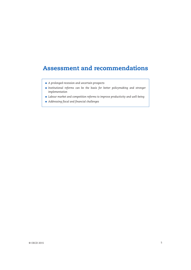## **Assessment and recommendations**

- *A prolonged recession and uncertain prospects*
- *Institutional reforms can be the basis for better policymaking and stronger implementation*
- *Labour market and competition reforms to improve productivity and well-being*
- *Addressing fiscal and financial challenges*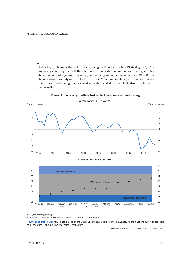Italy's key problem is the lack of economic growth since the late 1990s (Figure 1). The stagnating economy has left Italy behind in many dimensions of well-being, notably education and skills, jobs and earnings, and housing; in no dimension of the OECD's Better Life indicators does Italy rank in the top fifth of OECD countries. Poor performance in some dimensions of well-being, such as weak education and skills, has itself also contributed to poor growth.



Figure 1. **Lack of growth is linked to low scores on well-being**



## A. Per capita GDP growth<sup>1</sup>

1. 3 year moving average.

*Source: OECD Economic Outlook 96* (database), OECD Better Life Indicators.

How to read this figure: Italy's best ranking on the Better Life Indicators is for work life balance, where it has the 12th highest score of 36 countries. For subjective well-being it ranks 24th.

1 2 *http://dx.doi.org/10.1787/888933184642*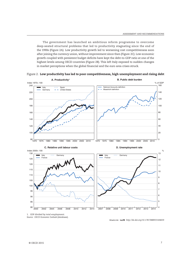The government has launched an ambitious reform programme to overcome deep-seated structural problems that led to productivity stagnating since the end of the 1990s (Figure 2A). Low productivity growth led to worsening cost competitiveness soon after joining the currency union, without improvement since then (Figure 2C). Low economic growth coupled with persistent budget deficits have kept the debt-to-GDP ratio at one of the highest levels among OECD countries (Figure 2B). This left Italy exposed to sudden changes in market perceptions when the global financial and the euro area crises struck.



Figure 2. **Low productivity has led to poor competitiveness, high unemployment and rising debt**

1. GDP divided by total employment.

*Source: OECD Economic Outlook* (database).

1 2 *http://dx.doi.org/10.1787/888933184659*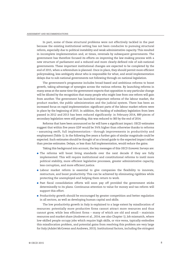In part, some of these structural problems were not effectively tackled in the past because the existing institutional setting has not been conducive to pursuing structural reform, especially due to political instability and weak administrative capacity. This resulted in incomplete implementation and, at times, reversals by subsequent governments. The government has therefore focused its efforts on improving the law-making process with a new structure of parliament and a reduced and more clearly-defined role of sub-national governments. These important institutional changes are expected to be completed by the end of 2015, when a referendum is planned. Once in place, they should permit more efficient policymaking, less ambiguity about who is responsible for what, and avoid implementation delays due to sub-national governments not following through on national legislation.

The government's programme includes broad-based and ambitious reforms to boost growth, taking advantage of synergies across the various reforms. By launching reforms in many areas at the same time the government expects that opposition to any particular change will be diluted by the recognition that many people who might lose from one reform will gain from another. The government has launched important reforms of the labour market, the product market, the public administration and the judicial system. There has been an increased focus on rapid implementation: significant parts of the labour market reform were in place by the beginning of 2015. In addition, the backlog of subsidiary legislation from laws passed in 2012 and 2013 has been reduced significantly: in February 2014, 889 pieces of secondary legislation were still pending, this was reduced to 383 by the end of 2014.

Reforms that have been announced so far will have a significant impact. OECD estimates suggest that within five years GDP would be 3½% higher than otherwise thanks to reforms – assuming swift, full implementation – through improvements in productivity and employment (Table 1). In the following five years a further gain of similar magnitude could be expected. Such estimates should be thought of as a broad guide to the expected impact rather than precise estimates. Delays, or less than full implementation, would reduce the gains.

Taking this background into account, the key messages of this *OECD Economic Surveys* are:

- The reforms will boost living standards over the next decade if they are fully implemented. This will require institutional and constitutional reforms to instil more political stability, more efficient legislative processes, greater administrative capacity, less corruption, and more efficient justice.
- Labour market reform is essential to give companies the flexibility to innovate, restructure, and boost productivity. This can be achieved by eliminating rigidities while protecting the unemployed and helping them return to work.
- Past fiscal consolidation efforts will soon pay off provided the government sticks determinedly to its plans. Continuous attention to value for money and tax reform will support this effort.
- Productivity growth should be encouraged by greater competition and better regulation in all sectors, as well as developing human capital and skills.

The low productivity growth in Italy is explained to a large extent by misallocation of resources: potentially more productive firms cannot attract more resources and thus cannot grow, while less efficient firms – many of which are old and small – maintain resources and market share (Andrews et al., 2014, see also Chapter 1). Job mismatch, where low-skilled people occupy jobs which require high skills, or vice versa, typically embodies this misallocation problem, and potential gains from resolving this problem are very large for Italy (Adalet McGowan and Andrews, 2015). Institutional factors, including the stringent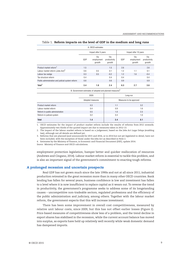#### Table 1. **Reform impacts on the level of GDP in the medium and long runs**

| A. OECD estimates                                |     |                             |                               |                       |                             |                               |
|--------------------------------------------------|-----|-----------------------------|-------------------------------|-----------------------|-----------------------------|-------------------------------|
|                                                  |     | Impact after 5 years        |                               | Impact after 10 years |                             |                               |
|                                                  | GDP | Via<br>employment<br>growth | Via<br>productivity<br>growth | GDP                   | Via<br>employment<br>growth | Via<br>productivity<br>growth |
| Product market reform <sup>1</sup>               | 1.5 |                             | 1.5                           | 2.6                   |                             | 2.6                           |
| Labour market reform (Jobs Act) <sup>2</sup>     | 0.6 | 0.5                         | 0.1                           | 1.2                   | 1.1                         | 0.1                           |
| Labour tax wedge                                 | 0.3 | 0.5                         | $-0.2$                        | 1.2                   | 1.6                         | $-0.4$                        |
| Tax structure reform                             | 0.4 |                             | 0.4                           | 0.4                   |                             | 0.4                           |
| Public administration and judicial system reform | 0.6 |                             | 0.6                           | 0.9                   |                             | 0.9                           |
| Total $3$                                        | 3.4 | 1.0                         | 2.4                           | 6.3                   | 2.7                         | 3.6                           |

B. Government estimates of adopted and planned measures<sup>4</sup>

|                                 | 2020             | Long-run                |     |  |
|---------------------------------|------------------|-------------------------|-----|--|
|                                 | Adopted measures | Measures to be approved |     |  |
| Product market reform           | 0.3              | 1.1                     | 3.2 |  |
| Labour market reform            | 0.4              | 0.9                     | 1.6 |  |
| Reform in public administration | 0.5              | 1.0                     | 2.3 |  |
| Reform in judicial system       | 0.2              | 0.4                     | 1.0 |  |
| <b>Total</b>                    | 1.4              | 3.4                     | 8.1 |  |

1. OECD estimates for the impact of product market reform include the results of reforms from 2012 onwards. Approximately two thirds of the quoted impact are due to measures taken in 2012-13.

2. The impact of the labour market reform is based on a judgement, based on the Jobs Act *Legge Delega* (enabling law), although not all details are defined yet.

3. Reforms that are planned (and announced) for 2015 and 2016, or in 2014 but not yet legislated in detail, have not been included, with the exception of those under the Jobs Act as described in Note 2.

4. Estimates by the Ministry of Finance, in Economic and Financial Document (DEF), update 2014.

*Source:* Ministry of Finance and OECD calculations.

employment protection legislation, hamper better and quicker reallocation of resources (Andrews and Cingano, 2014). Labour market reform is essential to tackle this problem, and is also an important signal of the government's commitment to enacting tough reforms.

### **A prolonged recession and uncertain prospects**

Real GDP has not grown much since the late 1990s and not at all since 2011; industrial production retreated in the great recession more than in many other OECD countries. Bank lending has fallen for several years, business confidence is low and investment has fallen to a level where it is now insufficient to replace capital as it wears out. To reverse the trend in productivity, the government's programme seeks to address some of its longstanding causes – uncompetitive non-tradeable sectors, regulated professions and the efficiency of the public administration and judiciary, among others. Together with the labour market reform, the government expects that this will increase investment.

There has been some improvement in overall cost competitiveness, measured by relative unit labour costs, since 2009, but this has not offset earlier losses (Figure 2). Price-based measures of competitiveness show less of a problem, and the trend decline in export shares has stabilised in the recession, while the current account balance has moved into surplus, as exports have held up relatively well recently while weak domestic demand has dampened imports.

OECD ECONOMIC SURVEYS: ITALY © OECD 2015 **17**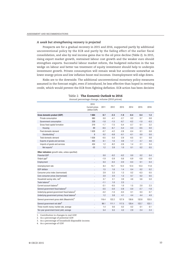#### *A weak but strengthening recovery is projected*

Prospects are for a gradual recovery in 2015 and 2016, supported partly by additional unconventional policy by the ECB and partly by the fading effect of the earlier fiscal consolidation, and also by real income gains due to the oil price decline (Table 2). In 2015, rising export market growth, restrained labour cost growth and the weaker euro should strengthen exports. Successful labour market reform, the budgeted reduction in the tax wedge on labour and better tax treatment of equity investment should help to underpin investment growth. Private consumption will remain weak but accelerate somewhat as lower energy prices and low inflation boost real incomes. Unemployment will edge down.

Risks are to the downside. The additional unconventional monetary policy measures assumed in the forecast might, even if introduced, be less effective than hoped in reviving credit, which would prevent the ECB from fighting deflation. ECB action has been decisive

|                                                           | 2010                                   |        |        |        |           |          |          |
|-----------------------------------------------------------|----------------------------------------|--------|--------|--------|-----------|----------|----------|
|                                                           | <b>Current prices</b><br>(billion EUR) | 2011   | 2012   | 2013   | 2014      | 2015     | 2016     |
| Gross domestic product (GDP)                              | 1 604                                  | 0.7    | $-2.3$ | $-1.9$ | $-0.4$    | 0.4      | 1.3      |
| Private consumption                                       | 980                                    | 0.0    | $-4.1$ | $-2.7$ | 0.2       | 0.7      | 0.8      |
| Government consumption                                    | 328                                    | $-1.8$ | $-1.5$ | $-0.7$ | $-0.2$    | $-1.0$   | $-0.3$   |
| Gross fixed capital formation                             | 319                                    | $-1.7$ | $-7.5$ | $-5.4$ | $-2.7$    | 0.1      | 2.2      |
| Housing                                                   | 89                                     | $-6.5$ | $-6.7$ | $-5.4$ | $-3.3$    | $-0.5$   | 0.0      |
| Final domestic demand                                     | 1628                                   | $-0.7$ | $-4.2$ | $-2.8$ | $-0.4$    | 0.1      | 0.8      |
| Stockbuilding <sup>1</sup>                                | 8                                      | 0.2    | $-0.8$ | $-0.1$ | $-0.1$    | 0.0      | 0.0      |
| Total domestic demand                                     | 1 636                                  | $-0.5$ | $-5.0$ | $-2.9$ | $-0.5$    | 0.1      | 0.8      |
| Exports of goods and services                             | 402                                    | 6.1    | 1.6    | 0.9    | 1.7       | 2.7      | 4.6      |
| Imports of goods and services                             | 434                                    | 1.2    | $-8.2$ | $-2.6$ | 1.4       | 2.1      | 3.4      |
| Net exports <sup>1</sup>                                  | $-32$                                  | 1.2    | 2.8    | 1.0    | 0.1       | 0.2      | 0.5      |
| Other indicators (growth rates, unless specified)         |                                        |        |        |        |           |          |          |
| <b>Potential GDP</b>                                      | $\ddot{\phantom{a}}$                   | 0.0    | $-0.2$ | $-0.2$ | 0.0       | 0.2      | 0.4      |
| Output gap <sup>2</sup>                                   | $\ddotsc$                              | $-1.9$ | $-3.9$ | $-5.6$ | $-5.9$    | $-5.8$   | $-5.0$   |
| Employment                                                |                                        | 0.3    | $-0.3$ | $-2.0$ | $-0.3$    | 0.1      | 0.4      |
| Unemployment rate                                         | $\ddotsc$                              | 8.4    | 10.7   | 12.2   | 12.4      | 12.3     | 11.8     |
| <b>GDP</b> deflator                                       |                                        | 1.5    | 1.6    | 1.4    | 0.4       | 0.2      | 0.2      |
| Consumer price index (harmonised)                         | $\ddotsc$                              | 2.9    | 3.3    | 1.3    | 0.2       | $-0.3$   | 0.5      |
| Core consumer prices (harmonised)                         |                                        | 2.0    | 2.0    | 1.3    | 0.7       | 0.2      | 0.5      |
| Household saving ratio, net <sup>3</sup>                  | $\ddot{\phantom{0}}$                   | 3.7    | 3.1    | 3.9    | 4.6       | 5.6      | 5.0      |
| Trade balance <sup>4</sup>                                | $\ddotsc$                              | $-1.1$ | 1.0    | 2.3    | $\ddotsc$ | $\ldots$ | $\ldots$ |
| Current account balance <sup>4</sup>                      | $\ddotsc$                              | $-3.1$ | $-0.5$ | 1.0    | 1.5       | 2.0      | 2.3      |
| General government fiscal balance <sup>4</sup>            |                                        | $-3.5$ | $-3.0$ | $-2.8$ | $-3.0$    | $-2.7$   | $-1.8$   |
| Underlying general government fiscal balance <sup>2</sup> |                                        | $-3.2$ | $-1.0$ | $-0.3$ | 0.1       | 0.3      | 0.7      |
| Underlying government primary fiscal balance <sup>2</sup> | .,                                     | 1.2    | 3.8    | 4.1    | 4.4       | 4.4      | 4.9      |
| General government gross debt (Maastricht) <sup>4</sup>   | ä,                                     | 116.4  | 122.2  | 127.9  | 130.6     | 132.8    | 133.5    |
| General government net debt <sup>4</sup>                  | $\ddotsc$                              | 96.1   | 111.1  | 117.5  | 120.4     | 122.7    | 123.1    |
| Three-month money market rate, average                    | $\ddotsc$                              | 1.4    | 0.6    | 0.2    | 0.2       | 0.1      | 0.1      |
| Ten-year government bond yield, average                   | $\ddot{\phantom{a}}$                   | 5.4    | 5.5    | 4.3    | 2.9       | 2.4      | 2.4      |

| Table 2. The Economic Outlook to 2016 |  |  |  |
|---------------------------------------|--|--|--|
|---------------------------------------|--|--|--|

Annual percentage change, volume (2010 prices)

1. Contribution to changes in real GDP. 2. As a percentage of potential GDP.

4. As a percentage of GDP.

3. As a percentage of household disposable income.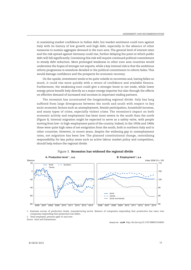in sustaining market confidence in Italian debt, but market sentiment could turn against Italy with its history of low growth and high debt, especially in the absence of other measures to sustain aggregate demand in the euro area. The general level of interest rates and the risk spread against Germany could rise, further delaying the point at which public debt will fall significantly. Containing this risk will require continued political commitment to steady debt reduction. More prolonged weakness in other euro area countries would undermine the hopes of stronger net exports, while a key internal risk is that the ambitious reform programme is somehow derailed or the political commitment to reform fades. This would damage confidence and the prospects for economic recovery.

On the upside, investment tends to be quite volatile in recoveries and, having fallen so much, it could rise more quickly with a return of confidence and available finance. Furthermore, the weakening euro could give a stronger boost to net trade, while lower energy prices benefit Italy directly as a major energy importer but also through the effects on effective demand of increased real incomes in important trading partners.

The recession has accentuated the longstanding regional divide. Italy has long suffered from large divergences between the north and south with respect to key socio-economic factors such as unemployment, female participation, household incomes, and many types of crime, especially violent crime. The recession's impact on both economic activity and employment has been more severe in the south than the north (Figure 3). Internal migration might be expected to serve as a safety valve, with people moving from low- to high-employment parts of the country. Indeed, in the 1950s and 1960s there were quite high rates of net emigration from the south, both to northern Italy and to other countries. However, in recent years, despite the widening gap in unemployment rates, net migration has been low. The planned constitutional change, centralising responsibility for key policy areas such as active labour market policy and competition, should help reduce the regional divide.





1. Business survey of production levels, manufacturing sector. Balance of companies responding that production has risen over companies responding that production has fallen.

2. Total employed, persons aged 15 and over. *Source:* Istat and Datastream.

1 2 *http://dx.doi.org/10.1787/888933184665*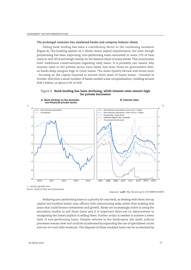#### *The prolonged recession has weakened banks and company balance sheets*

Falling bank lending has been a contributory factor in the continuing recession (Figure 4). The banking system as a whole meets capital requirements, but even though provisioning has been improving, non-performing loans amounted to some 17% of total loans in mid-2014 and weigh heavily on the balance sheet of many banks. This accentuates their traditional conservativism regarding risky loans. It is probably one reason why interest rates to the private sector have fallen less than those on government debt, as banks keep margins high to cover losses. The Asset Quality Review and stress tests – focusing on the capital required to survive three years of heavy losses – revealed in October 2014 that a small number of banks needed some recapitalisation, totalling around EUR 3 billion, or about 0.2% of GDP.



Figure 4. **Bank lending has been declining, while interest rates remain high for private borrowers**

*Source:* Bank of Italy and Datastream.

1 2 *http://dx.doi.org/10.1787/888933184678*

Reducing non-performing loans is a priority for any bank, as dealing with them ties up capital and burdens banks' loan officers with restructuring tasks rather than making new loans that could finance investment and growth. Banks are increasingly active in using the secondary market to sell these loans and it is important there are no disincentives to recognising the losses implicit in selling them. Further action is needed to achieve a lower level of non-performing loans. Despite reforms to the bankruptcy law itself, judicial processes remain slow and could be accelerated by expanding the use of specialised courts and out-of-court debt workouts. The disposal of these troubled loans can be accelerated by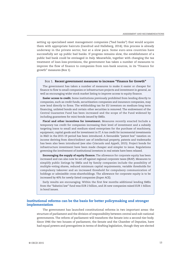setting up specialised asset management companies ("bad banks") that would acquire them with appropriate haircuts (Gandrud and Halleberg, 2014); this process is already underway in the private sector, but at a slow pace. Some euro-area countries have successfully set up public bad banks. If progress remains slow, the establishment of a public bad bank could be envisaged in Italy. Meanwhile, together with changing the tax treatment of loan-loss-provisions, the government has taken a number of measures to improve the flow of finance to companies from non-bank sources, in its "Finance for growth" measures (Box 1).

#### Box 1. **Recent government measures to increase "Finance for Growth"**

The government has taken a number of measures to make it easier or cheaper for finance to flow to small companies or infrastructure projects and investment in general, as well as encouraging wider stock market listing to improve access to equity finance.

**Easier access to credit.** Some institutions previously prohibited from lending directly to companies, such as credit funds, securitisation companies and insurance companies, may now lend directly to firms. The withholding tax for EU investors on medium-long term financing, unlisted bonds and certain other securities is removed. The endowment of the Central Guarantee Fund has been increased and the scope of the Fund widened by including guarantees for mini-bonds issued by SMEs.

**Fiscal and other incentives for investment.** Measures recently enacted Include a temporary tax credit for companies increasing their level of investment and a subsidy targeting loans to small and medium-sized enterprises for the purchase of machinery, equipment, capital goods and for investment in IT. A tax credit for incremental investments in R&D in the 2015-19 period has been introduced. A favourable "patent box" taxation on income deriving from direct/indirect use of intellectual property, patents and trademarks has been also been introduced (see also Criscuolo and Appelt, 2015). Project bonds for infrastructure investment have been made cheaper and simpler to issue. Regulations governing the involvement of institutional investors in real estate have been relaxed.

**Encouraging the supply of equity finance.** The allowance for corporate equity has been increased and can also now be set off against regional corporate taxes (IRAP). Measures to simplify public listings by SMEs and by family companies include the possibility of multiple-voting shares, reduced minimum capital requirements, variable thresholds for compulsory takeover and an increased threshold for compulsory communication of holdings or admissible cross-shareholdings. The allowance for corporate equity is to be increased by 40% for newly-listed companies (Super ACE).

Early results are encouraging. Within the first few months additional lending SMEs from the "Sabatini law" fund was EUR 2 billion, and 26 new companies raised EUR 1 billion in bond issues.

## **Institutional reforms can be the basis for better policymaking and stronger implementation**

The government has launched constitutional reforms in two important areas: the structure of parliament and the division of responsibility between central and sub-national governments. The reform of parliament will transform the Senate into a second-tier body. Since 1946 the two houses of parliament, the Senate and the Chamber of Deputies, have had equal powers and prerogatives in terms of drafting legislation, though they are elected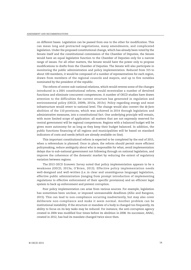on different bases. Legislation can be passed from one to the other for modification. This can mean long and protracted negotiations, many amendments, and complicated legislation. Under the proposed constitutional change, which has already been voted by the Senate itself and the constitutional commission of the Chamber of Deputies, the Senate would have an equal legislative function to the Chamber of Deputies only for a narrow range of issues. For all other matters, the Senate would have the power only to propose modifications to drafts from the Chamber of Deputies. The Senate will also participate in monitoring the public administration and policy implementation. Reduced from 315 to about 100 members, it would be composed of a number of representatives for each region, drawn from members of the regional councils and mayors, and up to five notables nominated by the president of the republic.

The reform of centre-sub-national relations, which would reverse some of the changes introduced in a 2001 constitutional reform, would recentralise a number of devolved functions and eliminate concurrent competences. A number of OECD studies have drawn attention to the difficulties the current structure has generated in regulation and environmental policy (OECD, 2009b, 2013a, 2013c). Policy regarding energy and most infrastructure would revert to national level. The change would also convert the *de facto* abolition of the 110 provinces, which was achieved in 2014 through legislation and administrative measures, into a constitutional fact. One underlying principle will remain, with more limited scope of application: all matters that are not expressly reserved for central government will be regional competences. Regions with a balanced budget will be given more autonomy for as long as they keep their budget balanced. In addition, the public functions financing of all regions and municipalities will be based on standard indicators of costs and needs (which are already available on-line).

This important constitutional reform is expected to be completed by the end of 2015, when a referendum is planned. Once in place, the reform should permit more efficient policymaking, reduce ambiguity about who is responsible for what, avoid implementation delays due to sub-national government not following through on national legislation, and improve the coherence of the domestic market by reducing the extent of regulatory variation between regions.

The 2013 *OECD Economic Survey* noted that policy implementation appears to be a weakness (OECD, 2013a; O'Brien, 2013). Effective policy implementation needs well-designed and well-written (i.e. in clear and unambiguous language) legislation, effective public administration (ranging from prompt introduction of implementing regulations to effective enforcement of their specific provisions) and an efficient legal system to back up enforcement and prevent corruption.

Poor policy implementation can arise from various sources. For example, legislation has sometimes been unclear, or imposed unreasonable deadlines (Allio and Rangone, 2015). This can lead to non-compliance occurring inadvertently, but may also cover deliberate non-compliance and make it seem normal. Another problem can be institutional instability. If the structure or mandate of a body is changed too frequently, its ability to focus on its key tasks may be reduced. For instance, the anti-corruption agency created in 2004 was modified four times before its abolition in 2008. Its successor, ANAC, created in 2012, has had its mandate changed twice since then.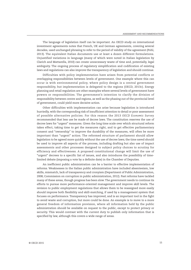The language of legislation itself can be important. An OECD study on international investment agreements notes that French, UK and German agreements, covering several decades, used unchanged phrasing to refer to the period of validity of the agreement (Pohl, 2013). The equivalent Italian documents use at least a dozen different formulations. Unjustified variations in language (many of which were noted in Italian legislation by Clarich and Mattarella, 2010) can create unnecessary waste of time and, potentially, legal ambiguity. The ongoing process of regulatory simplification and codification of existing laws and regulations can also improve the transparency of legislation and should continue.

Difficulties with policy implementation have arisen from potential conflicts or overlapping responsibilities between levels of government. One example where this can occur is with environmental policy, where policy design is a central government responsibility, but implementation is delegated to the regions (OECD, 2013c). Energy planning and retail regulation are other examples where several levels of government have powers or responsibilities. The government's intention to clarify the division of responsibility between centre and regions, as well as the phasing out of the provincial level of government, could yield more decisive action.

Other difficulties with implementation can arise because legislation is introduced hurriedly, with the corresponding risk of insufficient attention to detail or poor assessment of possible alternative policies. For this reason the 2013 *OECD Economic Survey* recommended that less use be made of decree laws. The constitution reserves the use of decree laws for "urgent" measures. Given the long time scale over which structural reform takes effect, taking time to get the measures right, and to get effective parliamentary consent and "ownership" to improve the durability of the measures, will often be more important than "urgent" action. The reformed structure of parliament should allow legislation to be agreed more quickly without the use of decree laws; the time saved should be used to improve all aspects of the process, including drafting but also use of impact assessments and other processes designed to subject policy choices to scrutiny for efficiency and effectiveness. A proposed constitutional change will limit the use of "urgent" decrees to a specific list of issues, and also introduces the possibility of timelimited debate (imposing a vote by a definite date) in the Chamber of Deputies.

An inefficient public administration can be a barrier to effective implementation of reforms. Weaknesses in the Italian public administration have included absenteeism, low skills, mismatch, lack of transparency and cronyism (Department of Public Administration, 2008; Commission on corruption in public administration, 2012). Past reforms have tackled many of these areas, though progress has been slow. The government needs to continue its efforts to pursue more performance-oriented management and improve skill levels. The revision to public employment regulations that allows them to be reassigned more easily should improve both flexibility and skill-matching, if used by a management system that focuses on performance. Transparency has improved, and is an important tool in the fight to avoid waste and corruption, but more could be done. An example is to move to a more general freedom of information provision, where all information held by the public administration should be available on request to the public, except to protect privacy or security. This would contrast with the current duty to publish only information that is specified by law, although this covers a wide range of areas.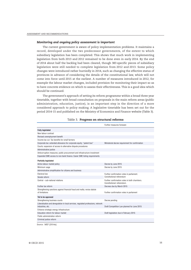#### *Monitoring and ongoing policy assessment is important*

The current government is aware of policy implementation problems. It maintains a record, developed under the two predecessor governments, of the extent to which subsidiary legislation has been completed. This shows that much work in implementing legislation from both 2013 and 2012 remained to be done even in early 2014. By the end of 2014 about half the backlog had been cleared, though 383 specific pieces of subsidiary legislation were still needed to complete legislation from 2012 and 2013. Some policy changes were introduced rather hurriedly in 2014, such as changing the effective status of provinces in advance of considering the details of the constitutional law, which will not come into force until 2015 at the earliest. A number of measures introduced in 2012, for example the labour market changes, included provision for monitoring their impact so as to have concrete evidence on which to assess their effectiveness. This is a good idea which should be continued.

The government's approach of setting its reform programme within a broad three year timetable, together with broad consultation on proposals in the main reform areas (public administration, education, justice), is an important step in the direction of a more considered approach to policy making. A legislative timetable has been set out for the period 2014-15 and published on the Ministry of Economics and Finance website (Table 3).

|                                                                                   | Further measures foreseen                       |
|-----------------------------------------------------------------------------------|-------------------------------------------------|
| <b>Fully legislated</b>                                                           |                                                 |
| New labour contract                                                               |                                                 |
| Revised unemployment benefit                                                      |                                                 |
| Income tax cut. Tax benefits for small farmers                                    |                                                 |
| Corporate tax: extended allowance for corporate equity; "patent box"              | Ministerial decree requirement for confirmation |
| Courts: expansion of access to alternative dispute procedures                     |                                                 |
| Administrative justice                                                            |                                                 |
| Anticorruption measures; public procurement and infrastructure investment         |                                                 |
| Expanded SME access to non-bank finance. Easier SME listing requirements          |                                                 |
| <b>Partially legislated</b>                                                       |                                                 |
| Active labour market policy                                                       | Decree by June 2015                             |
| Minimum wage                                                                      | Decree by June 2015                             |
| Administrative simplification for citizens and business                           |                                                 |
| Electoral law                                                                     | Further confirmation votes in parliament.       |
| Senate reform                                                                     | Constitutional referendum                       |
| Central - sub-national relations                                                  | Further confirmation votes in both chambers.    |
|                                                                                   | Constitutional referendum.                      |
| Further tax reform                                                                | Decrees due by March 2015                       |
| Strengthening sanctions against financial fraud and mafia; revise statute         |                                                 |
| of limitations                                                                    | Further confirmation votes in parliament        |
| Yet to be approved                                                                |                                                 |
| Strengthening business courts                                                     | Decree pending                                  |
| Liberalisation and deregulation in local services, regulated professions, network |                                                 |
| industries, etc.                                                                  | Draft Competition Law planned for June 2015     |
| Enhance strategic energy infrastructure                                           |                                                 |
| Education reform for labour market                                                | Draft legislation due in February 2015          |
| Public administration reform                                                      |                                                 |
| Criminal justice reform                                                           |                                                 |
|                                                                                   |                                                 |

#### Table 3. **Progress on structural reforms**

*Source:* MEF (2014a).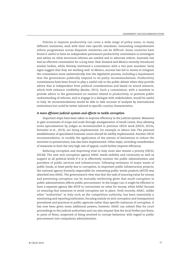Policies to improve productivity can cover a wide range of policy areas, in many different ministries, each with their own specific mandates. Generating comprehensive reform programmes across disparate ministries can be difficult. Some countries have found it useful to have an independent permanent productivity commission to investigate and advise on what structural reforms are needed and to advocate reform. Australia has had an effective commission for a long time. New Zealand and Mexico recently introduced similar bodies, while Norway instituted a commission with a two-year mandate. Early signs suggest that they are working well. In Mexico, success has led to moves to integrate the commission more systematically into the legislative process, including a requirement that the government publically respond to its policy recommendations. Productivity commissions have been found to play a useful role in the public debate when they provide advice that is independent from political considerations and based on sound research, which both enhance credibility (Banks, 2011). Such a commission, with a mandate to provide advice to the government on matters related to productivity, to promote public understanding of reforms, and to engage in a dialogue with stakeholders, would be useful in Italy. Its recommendations would be able to take account of analysis by international institutions but could be better tailored to specific country characteristics.

#### *A more efficient judicial system and efforts to tackle corruption*

Important steps have been taken to improve efficiency in the judicial system. Measures to gain economies of scope and scale through amalgamation of small courts, thus allowing some specialisation by judges as recommended in previous OECD work (OECD, 2013a; Palumbo et al., 2013), are being implemented, for example in labour law. The planned establishment of specialised business courts should be swiftly implemented. Another OECD recommendation, to modify the application of the statute of limitations to reduce the incentive to prevarication, has also been implemented. Other steps, including consideration of measures to limit the very high rate of appeal, could further improve efficiency.

Reducing corruption and improving trust in Italy must also remain a priority (OECD, 2013d). The new anti-corruption agency ANAC needs stability and continuity as well as support at all political levels if it is to effectively monitor the public administration and providers of public services and infrastructure. Following revelation of major waste of public funds, at least partly due to corruption, in important public infrastructure projects, the national agency formerly responsible for overseeing public works projects (AVCP) was absorbed into ANAC. The government's view was that the task of ensuring value for money and preventing corruption can be mutually reinforcing given that much corruption in public administration affects public procurement. In the longer run, it might be efficient to have a separate agency like AVCP to concentrate on value for money, while ANAC focuses on ensuring that measures to avoid corruption are in place. Until recently, ANAC, unlike other "authorities" in Italy such as the competition authority, has been essentially a monitoring and reporting institution, focusing mainly on anti-corruption and transparency procedures and practices in public agencies rather than specific instances of corruption. It has now been given some additional powers, however. ANAC can submit files for court proceedings to the judicial authorities and can also request that the local Prefect put firms, or parts of firms, suspected of being involved in corrupt behaviour with regard to public procurement into compulsory administration.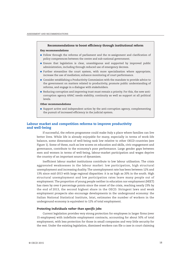#### **Recommendations to boost efficiency through institutional reform**

#### **Key recommendations**

- Follow through the reforms of parliament and the re-assignment and clarification of policy competences between the centre and sub-national government.
- Ensure that legislation is clear, unambiguous and supported by improved public administration, including through reduced use of emergency decrees.
- Further streamline the court system, with more specialisation where appropriate; increase the use of mediation; enhance monitoring of court performance.
- Consider establishing a Productivity Commission with the mandate to provide advice to the government on matters related to productivity, promote public understanding of reforms, and engage in a dialogue with stakeholders.
- Reducing corruption and improving trust must remain a priority. For this, the new anticorruption agency ANAC needs stability, continuity as well as support at all political levels.

#### **Other recommendations**

● Support active and independent action by the anti-corruption agency, complementing the pursuit of increased efficiency in the judicial system.

## **Labour market and competition reforms to improve productivity and well-being**

If successful, the reform programme could make Italy a place where families can live better lives. While life is already enjoyable for many, especially in terms of work-life balance, some dimensions of well-being rank low relative to other OECD countries (see Figure 1). Some of these, such as low scores on education and skills, civic engagement and governance, contribute to the economy's poor performance. Large gender gaps between men and women in terms of well-being, labour-market participation and wages deprive the country of an important source of dynamism.

Inefficient labour market institutions contribute to low labour utilisation. The crisis aggravated weaknesses in the labour market: low participation, high structural unemployment and increasing duality. The unemployment rate has been between 12% and 13% since mid-2013 with large regional disparities: it is as high as 20% in the south. High structural unemployment and low participation rates leave many people out of employment. The proportion of young people neither in education nor employment (NEET) has risen by over 6 percentage points since the onset of the crisis, reaching nearly 23% by the end of 2013, the second highest share in the OECD. Stringent laws and weak employment prospects also encourage developments in the underground economy: the Italian National Statistical Institute, Istat, estimates the number of workers in the underground economy is equivalent to 12% of total employment.

#### *Protecting individuals rather than specific jobs*

Current legislation provides very strong protection for employees in larger firms (over 15 employees) with indefinite employment contracts, accounting for about 50% of total employment, with less protection for those in small companies and very little security for the rest. Under the existing legislation, dismissed workers can file a case in court claiming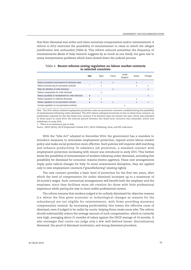that their dismissal was unfair and claim monetary compensation and/or reinstatement. A reform in 2012 restricted the possibility of reinstatement to cases in which the alleged justification was unfounded (Table 4). This reform reduced somewhat the frequency of reinstatements (Bank of Italy research suggests by as much as one third), but gave rise to many interpretation problems which have slowed down the judicial process.

|  |                       |  | Table 4. Recent reforms easing regulation on labour market contracts |  |
|--|-----------------------|--|----------------------------------------------------------------------|--|
|  | in selected countries |  |                                                                      |  |

|                                                          | Italy | Spain | France | United<br>Kingdom | Greece | Portugal |
|----------------------------------------------------------|-------|-------|--------|-------------------|--------|----------|
| Reduce procedural inconvenience for dismissal cases      |       | X     | X      |                   | X      |          |
| Reduce severance pay for permanent contracts             |       | X     |        |                   | X      | X        |
| Relax the definition of unfair dismissal                 |       |       | X      |                   |        | X        |
| Reduce compensation for unfair dismissal                 |       | X     |        |                   |        |          |
| Reduce possibility of reinstatement for unfair dismissal | x     |       |        |                   |        | X        |
| Reduce regulation on collective dismissals               | X     | X     |        |                   | X      |          |
| Reduce regulation on non-permanent contracts             | x     | X     | X      |                   | X      | X        |
| Increase regulation on non-permanent contracts           |       |       |        | X                 |        |          |

*Note:* The 2012 reform relaxed employment protection rules on permanent contracts, notably limiting the possibility of reinstatement following unfair dismissal. The 2012 reform reshaped incentives to hire on fixed-term contacts; no justification required for the first fixed-term contract if its duration does not exceed one year, which was extended to three years in early 2014; the interval period between two fixed-term contracts was extended, which was withdrawn in early 2014.

1. There is no severance pay in Italy.

*Source:* OECD (2013), *OECD Employment Outlook 2013*, OECD Publishing, Paris; and EPL indicators.

With the "Jobs Act" adopted in December 2014, the government has a mandate to introduce measures to rationalise employment protection, expand active labour market policy and make social protection more effective. Such policies will improve skill matching and enhance productivity. To rebalance job protection, a standard contract with employment protection increasing with tenure was introduced in early 2015. This further limits the possibility of reinstatement of workers following unfair dismissal, excluding this possibility for dismissal for economic reasons (*motivo oggettivo*). These new arrangements imply quite radical changes for Italy. To avoid unwarranted disruption, they are applied only to new employment contracts ("grandfathering" existing rights).

The new contract provides a basic level of protection for the first two years, after which the level of compensation for unfair dismissal increases up to a maximum of 24 month's wages. Such contractual arrangements will benefit both the employer and the employee, since they facilitate more job creation for those with little professional experience while paving the way to more stable professional careers.

The reform ensures that workers judged to be unfairly dismissed for objective reasons (i.e. where the firm gives economic or technological changes as reasons for the redundancy) are not eligible for reinstatement, with firms providing monetary compensation instead. By increasing predictability this lowers the effective costs of dismissal, even if judged to be unfair by courts, helping firms create more jobs. The reform should substantially reduce the average amount of such compensation, which is currently very high, averaging about 21 months of salary against the OECD average of 14 months. It also envisages that courts can judge only a few well-defined issues: discriminatory dismissal; the proof of dismissal motivation; and wrong dismissal procedure.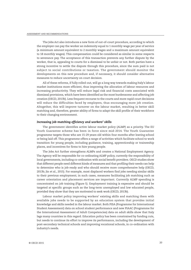The Jobs Act also introduces a new form of out-of-court procedure, according to which the employer can pay the worker an indemnity equal to 1 monthly wage per year of service (a minimum amount equivalent to 2 monthly wages and a maximum amount equivalent to 18 monthly wages). This compensation could be considered as similar in some respects to severance pay. The acceptance of this transaction prevents any further dispute by the worker, that is, appealing to courts for a dismissal to be unfair or not. Both parties have a strong incentive to settle the dispute through this procedure, since the sum paid is not subject to social contributions or taxation. The government should monitor the developments on this new procedure and, if necessary, it should consider alternative measures to reduce uncertainty on court decision.

All of these reforms, if fully rolled-out, will go a long way towards making Italy's labour market institutions more efficient, thus improving the allocation of labour resources and increasing productivity. They will reduce legal risk and financial costs associated with dismissal provisions, which have been identified as the most burdensome and affecting job creation (OECD, 2013b). Less frequent recourse to the courts and more rapid court decisions will reduce the difficulties faced by employers, thus encouraging more job creation. Altogether, this will improve turnover on the labour market, resulting in better skill matching and, therefore, greater ability of firms to adapt the skill profile of their workforce to their changing environment.

## *Increasing job-matching efficiency and workers' skills*

The government identifies active labour market policy (ALMP) as a priority. The EU Youth Guarantee scheme has been in force since mid-2014. The Youth Guarantee programme targets those who are 15-29 years old within four months after leaving school or being laid off. This programme offers a range of activities which facilitate school to work transition for young people, including guidance, training, apprenticeship or traineeship places, and incentives for firms to hire young people.

The Jobs Act further strengthens ALMPs and creates a National Employment Agency. The Agency will be responsible for co-ordinating ALMP policy, currently the responsibility of local governments, including co-ordination with social benefit providers. OECD studies show that different people need different kinds of measures and that profiling their needs can help to determine who is job-ready and who should receive more comprehensive help (OECD, 2013b; Jin et al., 2015). For example, most displaced workers find jobs needing similar skills to their previous employment; in such cases, measures facilitating job matching such as career orientation and placement services are important. Currently ALMP spending is concentrated on job training (Figure 5). Employment training is expensive and should be targeted at specific groups such as the long-term unemployed and low educated people, provided they show that they are motivated to seek work (OECD, 2013b).

Labour market policy improving workers' existing skills and matching them with available jobs needs to be supported by an education system that provides initial knowledge and skills needed in the labour market. Both PISA (Programme for International Student Assessment) data on school student performance and new PIAAC (Programme for the International Assessment of Adult Competencies) data on adult skills show that Italy lags many countries in this regard. Education policy has been constrained by funding cuts, but needs to continue its effort to improve its performance, including the development of post-secondary technical schools and improving vocational schools, in co-ordination with industry's needs.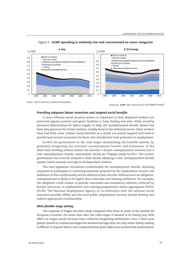

#### Figure 5. **ALMP spending is relatively low and concentrated on some categories**

*Source: OECD Economic Outlook 96* (database).

#### *Providing adequate labour incentives and targeted social benefits*

A more efficient social security system is important so that displaced workers are protected against poverty and given facilities to help finding new jobs, while avoiding pervasive disincentives for labour supply. In Italy, the unemployment benefit system has been very generous for certain workers, notably those in the industrial sector. Other workers have had little cover. Indeed, social benefits as a whole are poorly targeted and tend to provide least income protection for those who already have least protection in employment.

In 2012 the government at the time began streamlining the benefits system, by gradually integrating the standard unemployment benefit and extensions of the short-time working scheme (which has become a *de facto* unemployment scheme) into a new unemployment benefit, *Assicurazione Sociale per l'Impiego* (ASpI) by 2017. The current government has recently adopted a draft decree adopting a new unemployment benefit system which extends coverage to all dependent workers.

The new legislation introduces conditionality for unemployment benefit, requiring recipients to participate in activating measures proposed by the employment service; full definition of this conditionality will be defined in later decrees.Without such an obligation, unemployment is likely to be higher than otherwise and training inefficient. For example, the obligation could consist of periodic interviews and mandatory referrals, enforced by benefit sanctions, to employment and training programmes where appropriate (OECD, 2013b). The National Employment Agency, in co-ordination with the national social insurance provider (INPS) and the local public employment services should develop and enforce appropriate conditionality.

#### *More flexible wage setting*

The response of wages has been weak compared with those in some of the hardest hit European countries. For some time after the crisis began it seemed to be having very little effect on wages, partly because most collective bargaining settlements cover a three year period. Growth in contractual wages has declined through time, but only rather slowly, making it difficult to improve labour cost competitiveness given Italy's poor productivity performance.

<sup>1 2</sup> *http://dx.doi.org/10.1787/888933184687*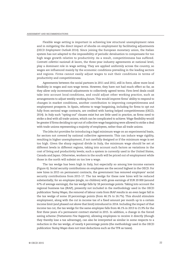Flexible wage setting is important in achieving low structural unemployment rates and in mitigating the direct impact of shocks on employment by facilitating adjustments (*OECD Employment Outlook 2014*). Since joining the European monetary union, the Italian system has not adapted to the impossibility of periodic devaluation to compensate for too high wage growth relative to productivity. As a result, competitiveness has suffered. *Contratti collettivi nazionali di lavoro*, the three-year industry agreements at national level, play a dominant role in wage setting. They are applied uniformly across the country, so wages are influenced mainly by the economic conditions prevailing in the leading sectors and regions. Firms cannot easily adjust wages to suit their conditions in terms of productivity and competitiveness.

Agreements between the social partners in 2011 and 2012, still in force, allow more local flexibility in wages and non-wage terms. However, they have not had much effect so far, as they allow only incremental adjustments to collectively agreed terms. Firm-level deals could take into account local conditions, and could adjust other working practice, such as arrangements to adjust weekly working hours. This would improve firms' ability to respond to changes in market conditions, another contribution to improving competitiveness and employment prospects. In Spain, reforms to wage bargaining, including for firms to opt out fully from sectoral wage contracts, are credited with having helped competitiveness (OECD, 2014). In Italy such "opting-out" clauses exist but are little used in practice, as firms need to strike a deal with all trade unions, which can be complicated to achieve.Wage flexibility would be greater if firms deciding to opt out of collective wage bargaining were allowed to strike a deal with trade unions representing a majority of employees, rather than all trade unions.

The Jobs Act provides for introducing a legal minimum wage on an experimental basis, for sectors not covered by national collective agreements. This can induce wage rigidity, resulting in higher unemployment, if not carefully designed or if the minimum wage is set too high. Given the sharp regional divide in Italy, the minimum wage should be set at different levels in different regions, taking into account such factors as variations in the cost of living and productivity levels; such a system is currently used in the United States, Canada and Japan. Otherwise, workers in the south will be priced out of employment while those in the north will subsist on too low a wage.

The tax wedge has been high in Italy, but especially so among low-income earners (Figure 6). Social security contributions on employees are the second highest in the OECD. For new hires in 2015 on permanent contracts, the government has removed employers' social security contributions from 2015-17. The tax wedge for these new hires will be reduced substantially; for an employee (single, no children) with gross earnings of EUR 20 000 (around 67% of average earnings), the tax wedge falls by 18 percentage points. Taking into account the regional business tax (IRAP), presently not included in the methodology used in the OECD publication *Taxing Wages*, the removal of labour costs from IRAP results in an even larger fall in the tax wedge of some 20 percentage points (from 46.1% to 26.7%). This should stimulate employment, along with the cut in income tax of a fixed amount per month up to a certain income limit (and phased out above that limit) introduced in 2014. Including the impact of that income tax cut, the tax wedge for the same employee falls from 46.1% in 2013 to 21.9% for the first three years of a permanent contract started in 2015. In addition, a change in the forced saving scheme (*Trattamento Fine Rapporto*), allowing employees to receive it directly (though they thereby lose a tax advantage), can also be interpreted as similar in some respects to a reduction in the tax wedge, of nearly 4 percentage points (the methodology used in the OECD publication *Taxing Wages* does not treat deductions such as the TFR as taxes).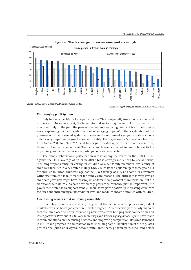

Figure 6. **The tax wedge for low-income workers is high**

*Source:* OECD, *Taxing Wages*, *OECD Tax and Wages Model*.

1 2 *http://dx.doi.org/10.1787/888933184695*

#### *Encouraging participation*

Italy has very low labour force participation. This is especially true among women and in the south. To some extent, the large informal sector may make up for this, but by no means entirely. In the past, the pension system imposed a high implicit tax on continuing work, explaining low participation among older age groups. With the acceleration of the phasing-in of the reformed system and rises in the retirement age, participation among older age groups has begun to rise noticeably. Participation by 55-64 year olds rose from 46% in 2008 to 57% in 2013 and has begun to catch up with that in other countries, though still remains below most. The pensionable age is now set to rise in line with life expectancy, so further increases in participation can be expected.

The female labour force participation rate is among the lowest in the OECD: 54.4% against the OECD average of 62.6% in 2013. This is strongly influenced by social norms, including responsibility for caring for children or older family members. Availability of child care facilities is very limited in Italy. Only 24% of Italian children up to three years old are enrolled in formal childcare, against the OECD average of 33%, and some 8% of women withdraw from the labour market for family care reasons. The birth rate is very low, so child care provision might have less impact on female employment than elsewhere, but the traditional female role as carer for elderly parents is probably just as important. The government intends to support female labour force participation by increasing child care facilities and introducing a tax credit for low- and medium-income families with children.

#### *Liberalising services and improving competition*

In addition to reform specifically targeted at the labour market, policies in product markets can also boost job creation, if well-designed. This concerns particularly markets that remain closed to entry, preventing new firms from bringing new competition and raising activity. Previous *OECD Economic Surveys* and *Reviews of Regulatory Reform* have made recommendations on liberalising services and improving competition. Reforms launched in 2012 made progress in a number of areas, including some liberalisation of the regulated professions (such as lawyers, accountants, architects, pharmacists, etc.), and better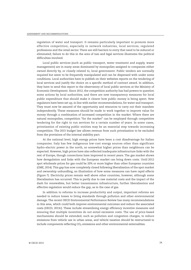regulation of water and transport. It remains particularly important to promote more effective competition, especially in network industries, local services, regulated professions and the retail sector. There are still barriers to entry that need to be reduced or eliminated; failure to do this in the area of taxi and legal services illustrates the political difficulties involved.

Local public services (such as public transport, water treatment and supply, waste management) are in many areas dominated by monopolies assigned to companies either owned directly by, or closely related to, local government. Public tenders are normally required but seem to be frequently manipulated and can be dispensed with under some conditions. Local authorities have to publish on their websites reports on the tendering of local services and justify the choice on a specific method of contract award. In addition, they have to send this report to the observatory of local public services at the Ministry of Economic Development. Since 2012, the competition authority has had powers to question some actions by local authorities; and there are new transparency measures for local public expenditure that should make it clearer how public money is being spent. New regulators have been set up, in line with earlier recommendations, for water and transport. They must now be assured of the opportunity and resources to carry out their mandate independently. These measures should be made to work together to improve value for money through a combination of increased competition in the market. Where there are natural monopolies, competition "for the market" can be employed through competitive tendering for the right to run services for a certain number of years. In some cases, privatisation of existing public entities may be an essential step towards increasing competition. The 2015 budget law allows revenue from such privatisation to be excluded from the provisions of the internal stability pact.

At the national level, high energy prices have been a cost disadvantage for Italian companies. Italy has few indigenous low-cost energy sources other than significant hydro-electric power in the north, so somewhat higher prices than neighbours can be expected. However, high prices have also reflected inadequate infrastructure links with the rest of Europe, though connections have improved in recent years. The gas market shows how deregulation and links with the European market can bring down costs. Until 2012 spot wholesale prices for gas could be 20% or more higher than other European countries (GME, 2014). This gap has now completely closed following liberalisation of the spot market and ownership unbundling, an illustration of how some measures can have rapid effects (Figure 7). Electricity prices remain well above other countries, however, although some liberalisation has occurred. This is partly due to raw material costs and the impact of the dash for renewables, but better transmission infrastructure, further liberalisation and effective regulation would reduce the gap, as in the case of gas.

In addition to reforms to increase productivity and output, important reforms are needed to reduce losses to living standards through pollution and other environmental damage. The recent OECD Environmental Performance Review has many recommendations in this area, which could both improve environmental outcomes and reduce the associated costs (OECD, 2013c). These include streamlining energy efficiency incentive measures and ensuring that multiple incentives do not entail excessive costs. The use of price-based mechanisms should be extended, such as pollution and congestion charges, to reduce emissions from vehicle use in urban areas, and vehicle taxation should be restructured to include components reflecting  $CO<sub>2</sub>$  emissions and other environmental externalities.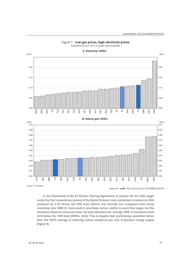



Industrial sector, 2013 or latest year available

*Source:* Eurostat.

1 2 *http://dx.doi.org/10.1787/888933184704*

In the framework of the EU Burden Sharing Agreement to achieve the EU-wide target under the first commitment period of the Kyoto Protocol, Italy committed to reduce its GHG emission by 6.5% below the 1990 level (which was already low compared with many countries) over 2008-12. Italy needs to purchase carbon credits to reach this target, but the necessary financial resources have not been allocated yet: average 2008-12 emissions were 4.6% below the 1990 level (ISPRA, 2014). This is despite Italy performing somewhat better than the OECD average in reducing carbon emissions per unit of primary energy supply (Figure 8).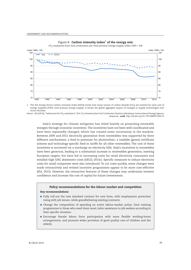



1. The IEA Energy Sector Carbon Intensity Index (ESCII) tracks how many tonnes of carbon dioxide (CO<sub>2</sub>) are emitted for each unit of energy supplied (TPES, total primary energy supply). It shows the global aggregate impact of changes in supply technologies over recent decades.

Source: IEA (2013), "Indicators for CO<sub>2</sub> emissions", IEA CO<sub>2</sub> Emissions from Fuel Combustion Statistics (database), International Energy Agency. 1 2 *http://dx.doi.org/10.1787/888933184712*

Italy's strategy for climate mitigation has relied heavily on promoting renewable energies through economic incentives. The incentives have not been well-coordinated and have been repeatedly changed, which has created some uncertainty in the markets. Between 2009 and 2012 electricity generation from renewables was supported by three different mechanisms: a feed-in premium for photovoltaic, a tradable (green) certificate scheme and technology-specific feed-in tariffs for all other renewables. The cost of these incentives is recovered via a surcharge on electricity bills. Italy's incentives to renewables have been generous, leading to a substantial increase in renewables generation, meeting European targets, but have led to increasing costs for retail electricity consumers and entailed high GHG abatement costs (OECD, 2013c). Specific measures to reduce electricity costs for small companies were also introduced. To cut costs quickly, some changes were made retroactively and revised incentive programmes appear to be more cost-effective (IEA, 2015). However, the retroactive features of these changes may undermine investor confidence and increase the cost of capital for future investments.

#### **Policy recommendations for the labour market and competition**

#### **Key recommendations**

- Fully roll-out the new standard contract for new hires, with employment protection rising with job tenure, while grandfathering existing contracts.
- Change the composition of spending on active labour-market policy: limit training programmes to those who need them most; tailor assistance to job seekers according to their specific situation.
- Encourage female labour force participation with more flexible working-hours arrangements, and promote wider provision of good quality care of children and the elderly.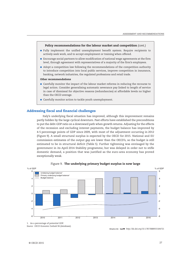#### **Policy recommendations for the labour market and competition** *(cont.)*

- Fully implement the unified unemployment benefit system. Require recipients to actively seek work, and to accept employment or training when offered.
- Encourage social partners to allow modification of national wage agreements at the firm level, through agreement with representatives of a majority of the firm's employees.
- Adopt a competition law following the recommendations of the competition authority to introduce competition into local public services, improve competition in insurance, banking, network industries, the regulated professions and retail trade.

#### **Other recommendations**

- Carefully monitor the impact of the labour market reforms in reducing the recourse to legal action. Consider generalising automatic severance pay linked to length of service in case of dismissal for objective reasons (redundancies) at affordable levels no higher than the OECD average.
- Carefully monitor action to tackle youth unemployment.

## **Addressing fiscal and financial challenges**

Italy's underlying fiscal situation has improved, although this improvement remains partly hidden by the large cyclical downturn. Past efforts have established the preconditions to put the debt-GDP ratio on a downward path when growth returns. Adjusting for the effects of the recession and excluding interest payments, the budget balance has improved by 4-5 percentage points of GDP since 2009, with most of the adjustment occurring in 2012 (Figure 9). A small structural surplus is expected by the OECD for 2015. National and EU commission estimates of the output gap are lower than the OECD's, so the budget is still estimated to be in structural deficit (Table 5). Further tightening was envisaged by the government in its April 2014 Stability programme, but was delayed in order not to stifle domestic demand, a position that was justified as the euro-area economy has proved exceptionally weak.



Figure 9. **The underlying primary budget surplus is now large**

1. As a percentage of potential GDP. *Source: OECD Economic Outlook 96* (database).

<sup>1 2</sup> *http://dx.doi.org/10.1787/888933184721*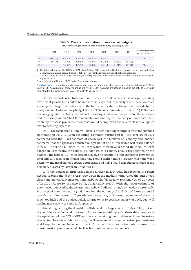|      | 2011        | 2012        | 2013        | 2014        | 2015        | 2016        | 2017     | Level of debt predicted<br>for 2017, % GDP <sup>1, 2</sup> |
|------|-------------|-------------|-------------|-------------|-------------|-------------|----------|------------------------------------------------------------|
| 2012 | $-3.6(1.3)$ | $-0.9(4.6)$ | 0.0(5.9)    | $-0.2(5.7)$ | $-0.4(5.7)$ |             |          | 105                                                        |
| 2013 | $-3.6(1.4)$ | $-1.3(4.3)$ | $-0.4(5.0)$ | $-0.3(5.1)$ | 0.0(5.3)    | 0.0(5.3)    | 0.0(5.2) | 115                                                        |
| 2014 |             | $-1.5(3.7)$ | $-0.7(4.2)$ | $-0.9(3.8)$ | $-0.6(4.0)$ | $-0.4(4.1)$ | 0.0(4.2) | 125                                                        |

Table 5. **Fiscal consolidation in successive budgets** Structural budget balance (structural primary balance), % GDP

1. Debt due to financing the EFSF and ESM, about 3.6% of GDP, is excluded. Debt projections in the original budgetary documentation have been adjusted to take account of the revised system of national accounts.

2. The 2012 budget did not project debt beyond 2015; the table shows an estimate for 2017 based on the projected figure for 2015.

*Source:* Ministry of Finance, "DEF Update" for successive years.

**Reading note:** The pre-budget documentation issued in September 2013 foresaw a structural deficit of 0.3% of GDP for 2014, a structural primary surplus of 5.1% of GDP. The same projections expected the debt-to-GDP ratio (adjusted for the exclusions in Note 1) to fall to 115% by 2017.

Official forecasts need to be cautious in order to avoid revenue shortfalls and spending overruns if growth turns out to be weaker than expected, especially when these forecasts are subject to large downside risks. In the future, verification of the official forecasts by the newly-created Parliamentary Budget Office – "Ufficio parlamentare di bilancio" (UPB) – may encourage greater cautiousness when forecasting short-term prospects for the economy and the fiscal position. The UPB's mandate does not require it to carry out forecasts itself; its ability to assess government forecasts would be improved if it nevertheless develops its own forecasting expertise.

On OECD calculations, Italy will have a structural budget surplus after the planned tightening in 2015-16. Even assuming a smaller output gap (a little over 4% in 2014 compared with the OECD estimate of nearly 6%), the Ministry of Economy and Finance estimates that the cyclically adjusted budget net of one-off measures will reach balance in 2017. Under the EU fiscal rules Italy would then have reached its medium term obligation. Technically, the debt rule (under which a country should keep tightening the budget if the debt-to-GDP ratio does not fall by one twentieth of the difference between its level and 60% each year) implies that Italy should tighten more. However, given the weak economy, the fiscal stance appears appropriate and Italy should take full advantage of the flexibility allowed by European Union rules.

With the budget in structural balance already in 2014, Italy has reached the point needed to bring the debt-to-GDP ratio down in the medium term. Once the output gap closes and growth converges on trend, debt would fall steadily, reaching 60% of GDP soon after 2030 (Figure 10; see also Denk, 2013; OECD, 2013a). With the lower estimate of potential output used by the government, debt will still fall, though somewhat more slowly. Estimates of potential output (and, therefore, the output gap) and also of future potential growth are quite uncertain. If growth does not return, or if current estimates of slack are much too high and the budget deficit returns to its 30-year average (6% of GDP), debt will decline more slowly or could drift upwards.

Sustaining a strong fiscal position will depend to a large extent on Italy's ability to keep the confidence of financial markets and to secure low risk spreads. Gross debt issuance is the equivalent of over 20% of GDP each year, so retaining the confidence of bond investors is essential. To achieve debt reduction, it will be essential to avoid repeating past mistakes and keep the budget balance on track. Once debt falls, some tax cuts or growth in non-interest expenditure would be feasible if interest rates remain low.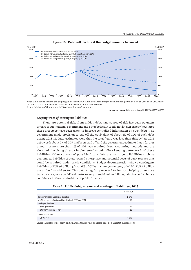

#### Figure 10. **Debt will decline if the budget remains balanced**

*Note:* Simulations assume the output gap closes by 2017. With a balanced budget and nominal growth at 3.8% of GDP (as in OECD@100) the debt-to-GDP ratio declines to 60% within 20 years, in line with EU rules. *Source:* Ministry of Finance and OECD calculations and estimates.

1 2 *http://dx.doi.org/10.1787/888933184736*

## *Keeping track of contingent liabilities*

There are potential risks from hidden debt. One source of risk has been payment arrears of sub-national government and other bodies. It is still not known exactly how large these are; steps have been taken to improve centralised information on such debts. The government made provision to pay off the equivalent of about 4% of GDP of such debt during 2013-14. Later estimates were that the total figure was less than this; by late 2014 debt worth about 2% of GDP had been paid off and the government estimate that a further amount of no more than 1% of GDP was required. New accounting methods and the electronic invoicing already implemented should allow keeping better track of these liabilities. Other sources of possible future debt are contingent liabilities such as guarantees, liabilities of state-owned enterprises and potential costs of bank rescues that could be required under crisis conditions. Budget documentation shows contingent liabilities of EUR 99 billion (about 6% of GDP) in state guarantees, of which EUR 82 billion are to the financial sector. This data is regularly reported to Eurostat, helping to improve transparency; more could be done to assess potential vulnerabilities, which would enhance confidence in the sustainability of public finances.

|                                                               | <b>Billion EUR</b> |
|---------------------------------------------------------------|--------------------|
| Government debt, Maastricht definition                        | 2070               |
| of which: Loans to foreign entities (bilateral, EFSF and ESM) | 56                 |
| <b>Contingent liabilities</b>                                 |                    |
| State quarantees                                              | 99                 |
| of which: Financial sector                                    | 82                 |
| Memorandum item:                                              |                    |
| GDP, 2013                                                     | 1619               |

#### Table 6. **Public debt, arrears and contingent liabilities, 2013**

*Source:* Ministry of Economy and Finance, Bank of Italy and Istat; based on Eurostat methodology.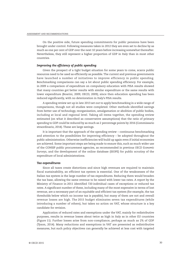On the positive side, future spending commitments for public pensions have been brought under control. Following measures taken in 2012 they are even set to decline by as much as one per cent of GDP over the next 10 years before increasing somewhat thereafter. Nevertheless, they still represent a higher proportion of GDP in Italy than in most other countries.

## *Improving the efficiency of public spending*

Given the prospect of a tight budget situation for some years to come, scarce public resources need to be used as efficiently as possible. The current and previous governments have launched a number of initiatives to improve efficiency in public spending. Benchmarking comparisons can say a lot about public spending efficiency. For example, in 2009 a comparison of expenditure on compulsory education with PISA results showed that many countries got better results with similar expenditure or the same results with lower expenditure (Boarini, 2009; OECD, 2009); since then education spending has been reduced significantly, with no deterioration in Italy's PISA results.

A spending review set up in late 2013 set out to apply benchmarking in a wide range of comparisons, though not all studies were completed. Other methods identified savings from better use of technology, reorganisation, amalgamation or abolition of public bodies, including at local and regional level. Taking all items together, the spending review estimated (on what it described as conservative assumptions) that the ratio of primary spending to GDP could be reduced by as much as 2 percentage points by 2016 (Commissario straordinario, 2014). These are large savings.

It is important that the approach of the spending review – continuous benchmarking and attention to the possibilities for improving efficiency – be adopted throughout the public administration. Otherwise inefficiencies will build up again even if initial economies are achieved. Some important steps are being made to ensure this, such as much wider use of the CONSIP public procurement agencies, as recommended in previous *OECD Economic Surveys*, and the development of the online database (SIOPE) for public scrutiny of the expenditure of local administrations.

## *Tax expenditures*

Since all taxes create distortions and since high revenues are required to maintain fiscal sustainability, an efficient tax system is essential. One of the weaknesses of the Italian tax system is the large number of tax expenditures. Reducing them would broaden the tax base, allowing the same revenue to be raised with lower tax rates. A report by the Ministry of Finance in 2011 identified 720 individual cases of exceptions or reduced tax rates. A significant number of these, including many of the most expensive in terms of lost revenue, are a necessary part of an equitable and efficient tax system (for example, the tax thresholds below which no income tax is payable), but many of them are not and overall revenue losses are high. The 2015 budget eliminates seven tax expenditures (while introducing a number of others), but takes no action on VAT, whose structure is a key candidate for revision.

Application of reduced rates and exemptions under the VAT, mainly for redistributive purposes, results in revenue losses about twice as high in Italy as in other EU countries (Figure 11). Further losses arise from non-compliance, perhaps as much as 2% of GDP (Tyson, 2014). Many reductions and exemptions in VAT are presented as redistributive measures, but such policy objectives can generally be achieved at less cost with targeted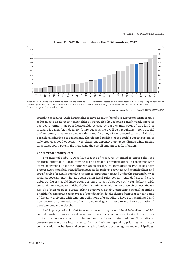

#### Figure 11. **VAT Gap estimates in the EU26 countries, 2012**

*Note:* The VAT Gap is the difference between the amount of VAT actually collected and the VAT Total Tax Liability (VTTL), in absolute or percentage terms. The VTTL is an estimated amount of VAT that is theoretically collectable based on the VAT legislation. *Source:* European Commission, 2012.

1 2 *http://dx.doi.org/10.1787/888933184743*

spending measures. Rich households receive as much benefit in aggregate terms from a reduced rate as do poor households; at worst, rich households benefit vastly more in aggregate terms than poor households. A case-by-case examination of this kind of measure is called for. Indeed, for future budgets, there will be a requirement for a special parliamentary session to discuss the annual survey of tax expenditures and decide possible eliminations or reductions. The planned revision of the social support system in Italy creates a good opportunity to phase out expensive tax expenditures while raising targeted support, potentially increasing the overall amount of redistribution.

## *The Internal Stability Pact*

The Internal Stability Pact (ISP) is a set of measures intended to ensure that the financial situation of local, provincial and regional administrations is consistent with Italy's obligations under the European Union fiscal rules. Introduced in 1999, it has been progressively modified, with different targets for regions, provinces and municipalities and specific rules for health spending (the most important item and under the responsibility of regional government). The European Union fiscal rules concern only deficits and gross debt, so the ISP could have been designed to set objectives only for deficits, with consolidation targets for indebted administrations. In addition to these objectives, the ISP has also been used to pursue other objectives, notably pursuing national spending priorities by exempting some types of spending; the details change from year to year. Some of the early problems with different definitions of expenditure have been eliminated and new accounting procedures allow the central government to monitor sub-national developments more closely.

Enabling legislation in 2009 foresaw a move to a system of fiscal federalism in which central transfers to sub-national government were made on the basis of a standard estimate of the finance necessary to implement nationally mandated policies. Sub-national government could use local taxes to finance their own spending priorities, with a tax compensation mechanism to allow some redistribution to poorer regions and municipalities.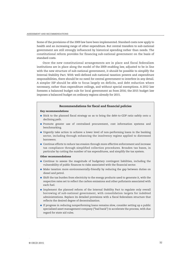Some of the provisions of the 2009 law have been implemented. Standard costs now apply to health and an increasing range of other expenditure. But central transfers to sub-national government are still strongly influenced by historical spending rather than needs. The constitutional reform provides for financing sub-national government on the basis of standard costs.

Once the new constitutional arrangements are in place and fiscal federalism institutions are in place along the model of the 2009 enabling law, adjusted to be in line with the new structure of sub-national government, it should be possible to simplify the Internal Stability Pact. With well-defined sub-national taxation powers and expenditure responsibilities, there should be no need for central government to interfere in any detail. A simpler ISP should be able to focus largely on deficits, and debt reduction where necessary, rather than expenditure ceilings, and without special exemptions. A 2012 law foresees a balanced budget rule for local government as from 2016; the 2015 budget law imposes a balanced budget on ordinary regions already for 2015.

#### **Recommendations for fiscal and financial policies**

#### **Key recommendations**

- Stick to the planned fiscal strategy so as to bring the debt-to-GDP ratio safely onto a declining path.
- Promote greater use of centralised procurement, cost information systems and benchmarking.
- Urgently take action to achieve a lower level of non-performing loans in the banking sector, including through enhancing the insolvency regime applied to distressed borrowers.
- Continue efforts to reduce tax evasion through more effective enforcement and increase tax compliance through simplified collection procedures. Broaden tax bases, in particular by cutting the number of tax expenditures, and simplify the tax system.

#### **Other recommendations**

- Continue to assess the magnitude of budgetary contingent liabilities, including the vulnerability of public finances to risks associated with the financial sector.
- Make taxation more environmentally-friendly by reducing the gap between duties on diesel and petrol.
- Shift the tax burden from electricity to the energy products used to generate it, with the respective rates set to reflect the carbon emissions and other pollutants associated with each fuel.
- Implement the planned reform of the Internal Stability Pact to regulate only overall borrowing of sub-national government, with consolidation targets for indebted administrations. Replace its detailed provisions with a fiscal federalism structure that reflects the desired degree of decentralisation.
- If progress in reducing nonperforming loans remains slow, consider setting up a public specialised asset management company ("bad bank") to accelerate the process, with due regard for state aid rules.

**40** OECD ECONOMIC SURVEYS: ITALY © OECD 2015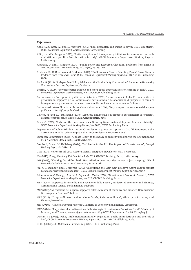#### *References*

- Adalet McGowan, M. and D. Andrews (2015), "Skill Mismatch and Public Policy in OECD Countries", *OECD Economics Department Working Papers*, forthcoming.
- Allio, L. and N. Rangone (2015), "Anti-corruption and transparency initiatives for a more accountable and efficient public administration in Italy", *OECD Economics Department Working Papers*, forthcoming.
- Andrews, D. and F. Cingano (2014), "Public Policy and Resource Allocation: Evidence from Firms in OECD Countries", *Economic Policy*, Vol. 29(78), pp. 253-296.
- Andrews, D., C. Criscuolo and C. Menon (2014), "Do Resources Flow to Patenting Firms? Cross-Country Evidence from Firm Level Data", *OECD Economics Department Working Papers*, No. 1127, OECD Publishing, Paris.
- Banks, G. (2011), "Ïndependent Policy Advice and the Productivity Commission", Swinburne University Chancellor's Lecture, September, Canberra.
- Boarini, R. (2009), "Towards better schools and more equal opportunities for learning in Italy", *OECD Economics Department Working Papers*, No. 727, OECD Publishing, Paris.
- Commission on Corruption in public administration (2012), "La corruzione in Italia. Per una politica di prevenzione, rapporto della Commissione per lo studio e l'elaborazione di proposte in tema di transparenza e prevenzione della corruzione nella pubblica amministrazione", Rome.
- Commissario straordinario per la revisione della spesa (2014), "Proposte per una revisione della spesa pubblica (2014-16)", unpublished.
- Clarich, M. and B.G. Mattarella (2010) "Leggi più amichevoli: sei proposte per rilanciare la crescita", *Scenari economici*, No. 8, Centro Studi Confindustria, June.
- Denk, O. (2013), "Italy and the euro area crisis: Securing fiscal sustainability and financial stability", *OECD Economics Department Working Papers*, No. 1065, OECD Publishing, Paris.
- Department of Public Administration, Commission against corruption (2008), "Il Fenomeno della Corruzione in Italia: prima mappa dell'Alto Commissario Anticorruzione".
- European Commission (2012), "Update Report to the Study to quantify and analyse the VAT Gap in the EU-27 Member States, TAXUD/2013/DE/321".
- Gandrud, G. and M. Halleberg (2014), "Bad banks in the EU: The impact of Eurostat rules", *Bruegel Working Paper*, No. 2014/15.
- GME (2014), *Newsletter del GME*, Gestore Mercati Energetici Newsletter, No. 75, October.
- IEA (2015), *Energy Policies of IEA Countries: Italy 2015*, OECD Publishing, Paris, forthcoming.
- IMF (2013), "The dog that didn't bark: Has inflation been muzzled or was it just sleeping", *World Economic Outlook*, International Monetary Fund, April.
- Jin, Y., R. Fukahori and H. Morgavi (2015), "Identifying the Most Cost Effective Active Labour Market Policies for Different Job Seekers", *OECD Economics Department Working Papers*, forthcoming.
- Johansson, Å, C. Heady, J. Arnold, B. Brys and L. Vartia (2008), "Taxation and Economic Growth", *OECD Economics Department Working Papers*, No. 620, OECD Publishing, Paris.
- MEF (2007), "Rapporto intermedio sulla revisione della spesa", Ministry of Economy and Finance, Commissione Tecnica per la Finanza Pubblica.
- MEF (2008), "La revisione della spesa: rapporto 2008", Ministry of Economy and Finance, Commissione Tecnica per la Finanza Pubblica.
- MEF (2011), "Gruppo di lavoro sull'erosione fiscale, Relazione Finale", Ministry of Economy and Finance, November.
- MEF (2014a), "Italy's Structural Reforms", Ministry of Economy and Finance, September.
- MEF (2014b), "Rapporto sulla realizzazione delle strategie di contrasto all'evasione fiscal", Ministry of Economy and Finance, *www.mef.gov.it/documenti-allegati/2014/Rapporto\_art6\_dl66\_13\_luglio.pdf*.
- O'Brien, P.S. (2013), "Policy implementation in Italy: Legislation, public administration and the rule of law", *OECD Economics Department Working Papers*, No. 1064, OECD Publishing, Paris.
- OECD (2009a), *OECD Economic Surveys: Italy 2009*, OECD Publishing, Paris.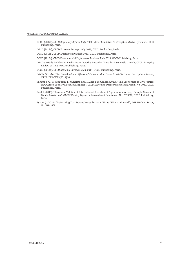- OECD (2009b), *OECD Regulatory Reform: Italy 2009 Better Regulation to Strengthen Market Dynamics*, OECD Publishing, Paris.
- OECD (2013a), *OECD Economic Surveys: Italy 2013*, OECD Publishing, Paris.
- OECD (2013b), *OECD Employment Outlook 2013*, OECD Publishing, Paris.
- OECD (2013c), *OECD Environmental Performance Reviews: Italy 2013*, OECD Publishing, Paris.
- OECD (2013d), *Reinforcing Public Sector Integrity, Restoring Trust for Sustainable Growth*, OECD Integrity Review of Italy, OECD Publishing, Paris.
- OECD (2014a), *OECD Economic Surveys: Spain 2014*, OECD Publishing, Paris.
- OECD (2014b), *The Distributional Effects of Consumption Taxes in OECD Countries: Update Report*, CTPA/CFA/WP9(2014)14.
- Palumbo, G., G. Giupponi, L. Nunziata and J. Mora Sanguinetti (2013), "The Economics of Civil Justice: NewCcross-country Data and Empirics", *OECD Economics Department Working Papers*, No. 1060, OECD Publishing, Paris.
- Pohl, J. (2013), "Temporal Validity of International Investment Agreements: A Large Sample Survey of Treaty Provisions", *OECD Working Papers on International Investment*, No. 2013/04, OECD Publishing, Paris.
- Tyson, J. (2014), "Reforming Tax Expenditures in Italy: What, Why, and How?", *IMF Working Paper*, No. WP/14/7.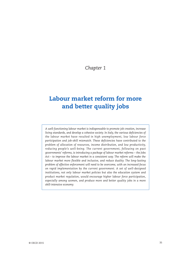## *Chapter 1*

## **Labour market reform for more and better quality jobs**

*A well-functioning labour market is indispensable to promote job creation, increase living standards, and develop a cohesive society. In Italy, the various deficiencies of the labour market have resulted in high unemployment, low labour force participation and job-skill mismatch. These deficiencies have contributed to the problem of allocation of resources, income distribution, and low productivity, reducing people's well-being. The current government, following on past governments' reforms, is introducing a package of labour market reforms – the Jobs Act – to improve the labour market in a consistent way. The reform will make the labour market more flexible and inclusive, and reduce duality. The long-lasting problem of effective enforcement will need to be overcome, with an increased focus on rapid implementation by the current government. A set of well-designed institutions, not only labour market policies but also the education system and product market regulation, would encourage higher labour force participation, especially among women, and produce more and better quality jobs in a more skill-intensive economy.*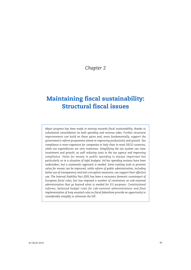*Chapter 2*

## **Maintaining fiscal sustainability: Structural fiscal issues**

*Major progress has been made in moving towards fiscal sustainability, thanks to substantial consolidation on both spending and revenue sides. Further structural improvements can build on these gains and, more fundamentally, support the government's reform programme aimed at improving productivity and growth. Tax compliance is more expensive for companies in Italy than in most OECD countries, while tax expenditures are very numerous. Simplifying the tax system can raise investment and growth, as well reducing costs in the tax agency and improving compliance. Value for money in public spending is always important but particularly so in a situation of tight budgets. Ad hoc spending reviews have been undertaken, but a systematic approach is needed. Some existing tools to promote value for money can be improved, while reform of public administration, including better use of transparency and anti-corruption measures, can support their effective use. The Internal Stability Pact (ISP) has been a necessary domestic counterpart of European fiscal rules, but has imposed a number of constraints on sub-national administration that go beyond what is needed for EU purposes. Constitutional reforms, balanced budget rules for sub-national administrations and final implementation of long-awaited rules on fiscal federalism provide an opportunity to considerably simplify or eliminate the ISP.*